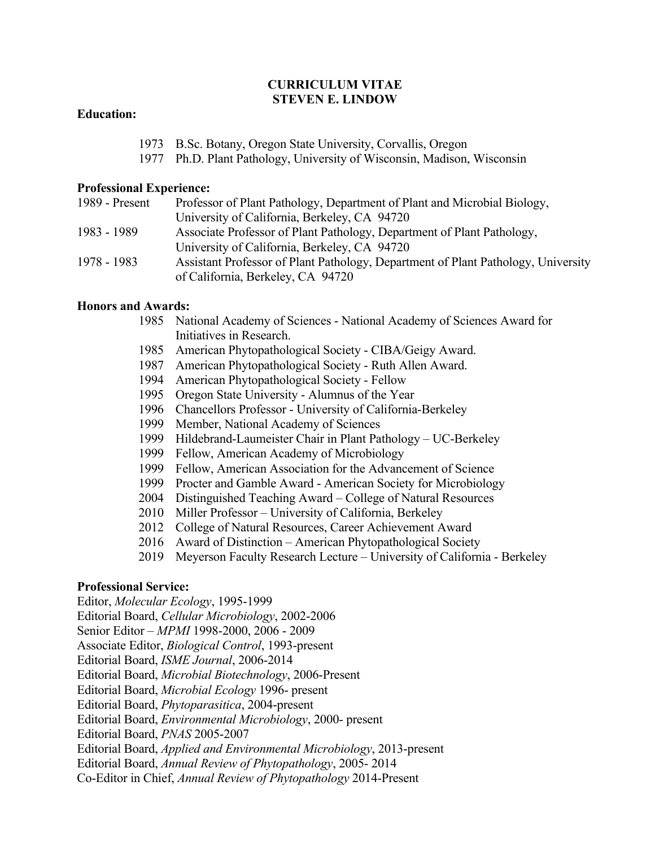## **CURRICULUM VITAE STEVEN E. LINDOW**

## **Education:**

- 1973 B.Sc. Botany, Oregon State University, Corvallis, Oregon
- 1977 Ph.D. Plant Pathology, University of Wisconsin, Madison, Wisconsin

#### **Professional Experience:**

| 1989 - Present | Professor of Plant Pathology, Department of Plant and Microbial Biology,          |
|----------------|-----------------------------------------------------------------------------------|
|                | University of California, Berkeley, CA 94720                                      |
| 1983 - 1989    | Associate Professor of Plant Pathology, Department of Plant Pathology,            |
|                | University of California, Berkeley, CA 94720                                      |
| 1978 - 1983    | Assistant Professor of Plant Pathology, Department of Plant Pathology, University |
|                | of California, Berkeley, CA 94720                                                 |

### **Honors and Awards:**

- 1985 National Academy of Sciences National Academy of Sciences Award for Initiatives in Research.
- 1985 American Phytopathological Society CIBA/Geigy Award.
- 1987 American Phytopathological Society Ruth Allen Award.
- 1994 American Phytopathological Society Fellow
- 1995 Oregon State University Alumnus of the Year
- 1996 Chancellors Professor University of California-Berkeley
- 1999 Member, National Academy of Sciences
- 1999 Hildebrand-Laumeister Chair in Plant Pathology UC-Berkeley
- 1999 Fellow, American Academy of Microbiology
- 1999 Fellow, American Association for the Advancement of Science
- 1999 Procter and Gamble Award American Society for Microbiology
- 2004 Distinguished Teaching Award College of Natural Resources
- 2010 Miller Professor University of California, Berkeley
- 2012 College of Natural Resources, Career Achievement Award
- 2016 Award of Distinction American Phytopathological Society
- 2019 Meyerson Faculty Research Lecture University of California Berkeley

### **Professional Service:**

Editor, *Molecular Ecology*, 1995-1999 Editorial Board, *Cellular Microbiology*, 2002-2006 Senior Editor – *MPMI* 1998-2000, 2006 - 2009 Associate Editor, *Biological Control*, 1993-present Editorial Board, *ISME Journal*, 2006-2014 Editorial Board, *Microbial Biotechnology*, 2006-Present Editorial Board, *Microbial Ecology* 1996- present Editorial Board, *Phytoparasitica*, 2004-present Editorial Board, *Environmental Microbiology*, 2000- present Editorial Board, *PNAS* 2005-2007 Editorial Board, *Applied and Environmental Microbiology*, 2013-present Editorial Board, *Annual Review of Phytopathology*, 2005- 2014 Co-Editor in Chief, *Annual Review of Phytopathology* 2014-Present